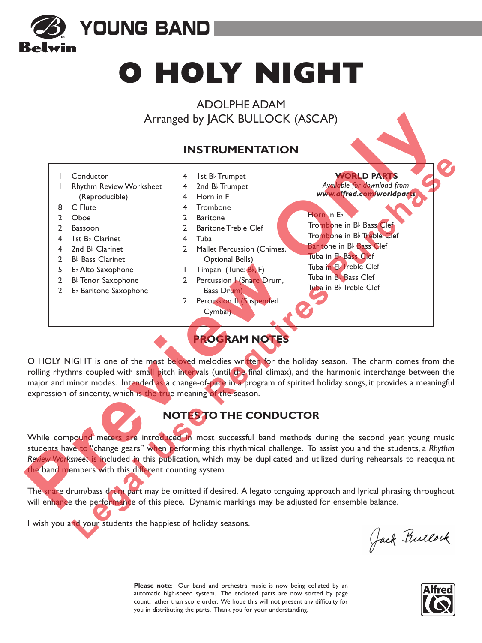

# **O Holy Night**

## Adolphe Adam Arranged by JACK BULLOCK (ASCAP)

# **INSTRUMENTATION**

- 1 Conductor
- 1 Rhythm Review Worksheet (Reproducible)

**YOUNG BAND**

- 8 C Flute
- 2 Oboe
- 2 Bassoon
- 4 1st  $B$  Clarinet
- 4 2nd  $B$  Clarinet
- 2 B<sub>b</sub> Bass Clarinet
- 5 E% Alto Saxophone
- 2 B<sub>b</sub> Tenor Saxophone
- 2 E% Baritone Saxophone
- 4 1st  $B\flat$  Trumpet
- 4 2nd  $B\flat$  Trumpet
- 4 Horn in F
- 4 Trombone
- 2 Baritone
- 2 Baritone Treble Clef
- 4 Tuba
- 2 Mallet Percussion (Chimes, Optional Bells)
- 1 Timpani (Tune: Bb, F)
- 2 Percussion I (Snare Drum, Bass Drum)
- 2 Percussion II (Suspended Cymbal)

 **WORLD PARTS** *Available for download from www.alfred.com/worldparts*

- Horn in E Trombone in B<sub>b</sub> Bass Clef Trombone in B<sub>b</sub> Treble Clef Baritone in B<sub>b</sub> Bass Clef Tuba in E% Bass Clef
- Tuba in E% Treble Clef Tuba in B**b** Bass Clef
- Tuba in B% Treble Clef

**PROGRAM NOTES**

O HOLY NIGHT is one of the most beloved melodies written for the holiday season. The charm comes from the rolling rhythms coupled with small pitch intervals (until the final climax), and the harmonic interchange between the major and minor modes. Intended as a change-of-pace in a program of spirited holiday songs, it provides a meaningful expression of sincerity, which is the true meaning of the season.

# **NOTES TO THE CONDUCTOR**

While compound meters are introduced in most successful band methods during the second year, young music students have to "change gears" when performing this rhythmical challenge. To assist you and the students, a *Rhythm Review Worksheet* is included in this publication, which may be duplicated and utilized during rehearsals to reacquaint the band members with this different counting system. **Arranged by JACK BULLOCK (ASCAP)<br>
INSTRUMENTATION<br>
INSTRUMENTATION<br>
1 Conductor<br>
Riggin Reserve Worksheet 4 Tab Bo Turmest<br>
(Regroductible)<br>
2 Chose<br>
2 Change 4 Tab Domina Fresho Cld<br>
2 Change 4 Tab Domina Fresho Claime,<br>** Conductor<br>
Conductor<br>
Rhythm Review Worksheet 4 2nd B-Trumpet<br>
(Rhythm Review Worksheet 4 2nd B-Trumpet<br>
C-Flute 4 1 Trombone<br>
2 Barticone 2 Barticone Ecle<br>
12nd B-Carnet 4 10 Barticone 2 Barticone Chimes.<br>
The B-Trumpeter

The snare drum/bass drum part may be omitted if desired. A legato tonguing approach and lyrical phrasing throughout will enhance the performance of this piece. Dynamic markings may be adjusted for ensemble balance.

I wish you and your students the happiest of holiday seasons.

**Please note**: Our band and orchestra music is now being collated by an automatic high-speed system. The enclosed parts are now sorted by page count, rather than score order. We hope this will not present any difficulty for you in distributing the parts. Thank you for your understanding.

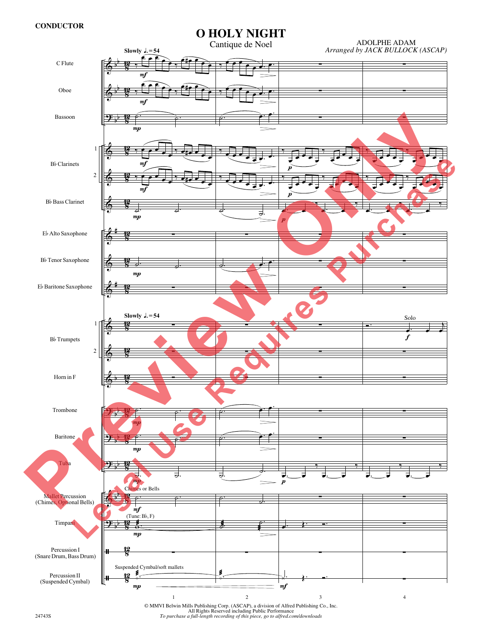### **CONDUCTOR**

## **O HOLY NIGHT**



© MMVI Belwin Mills Publishing Corp. (ASCAP), a division of Alfred Publishing Co., Inc. All Rights Reserved including Public Performance *To purchase a full-length recording of this piece, go to alfred.com/downloads*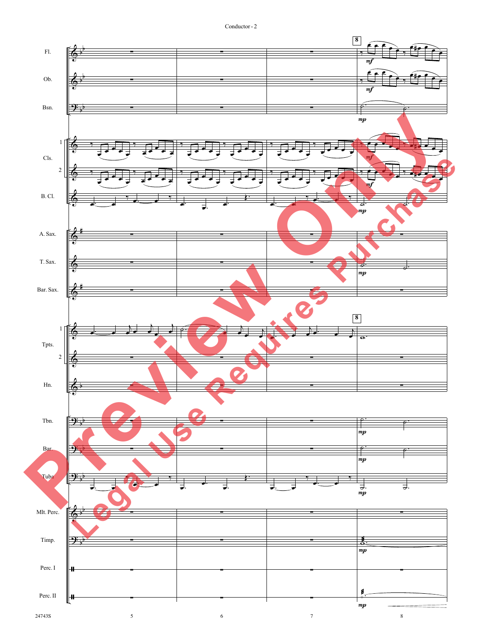Conductor - 2

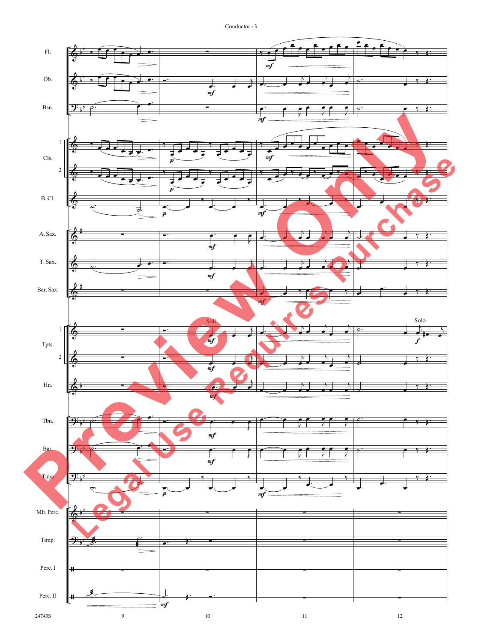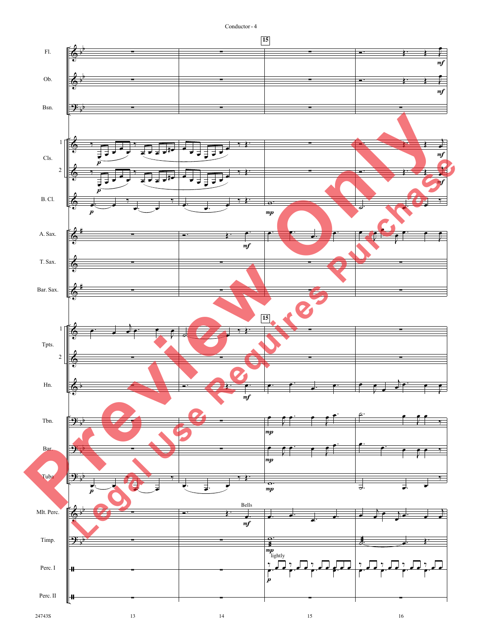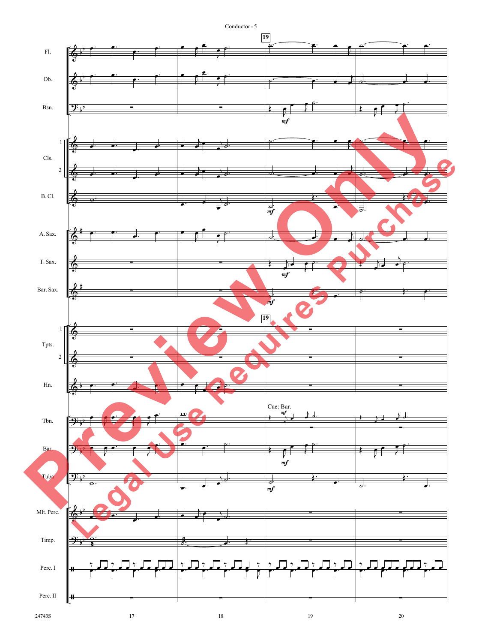Conductor - 5



20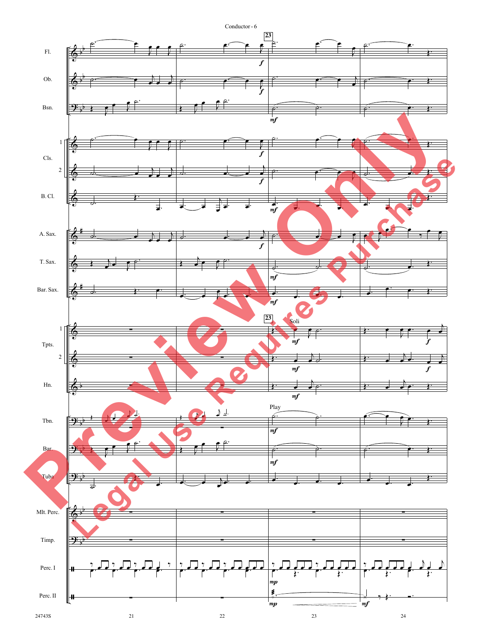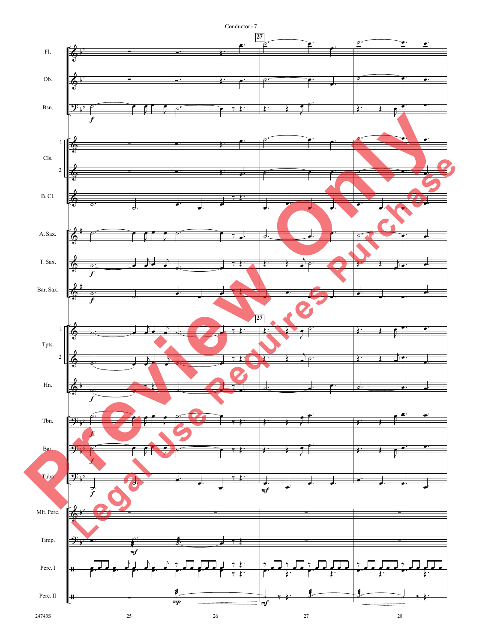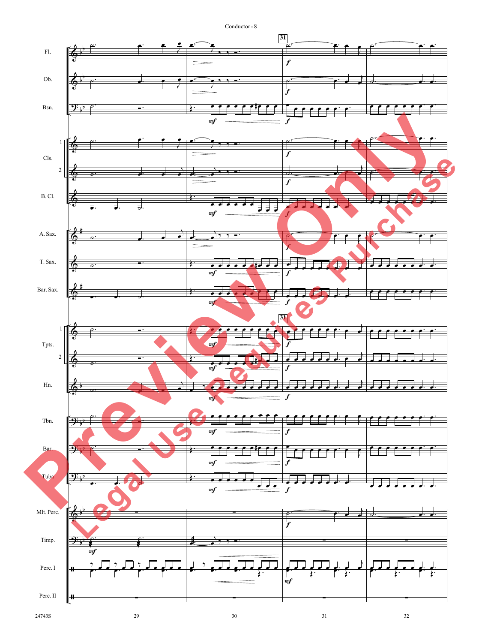Conductor - 8



 $30^{\circ}$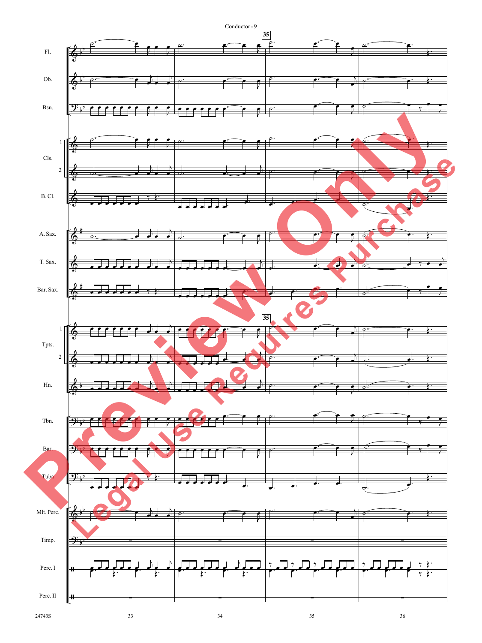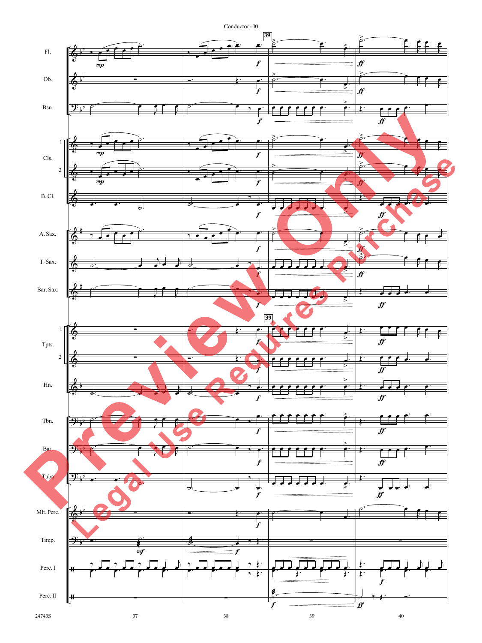